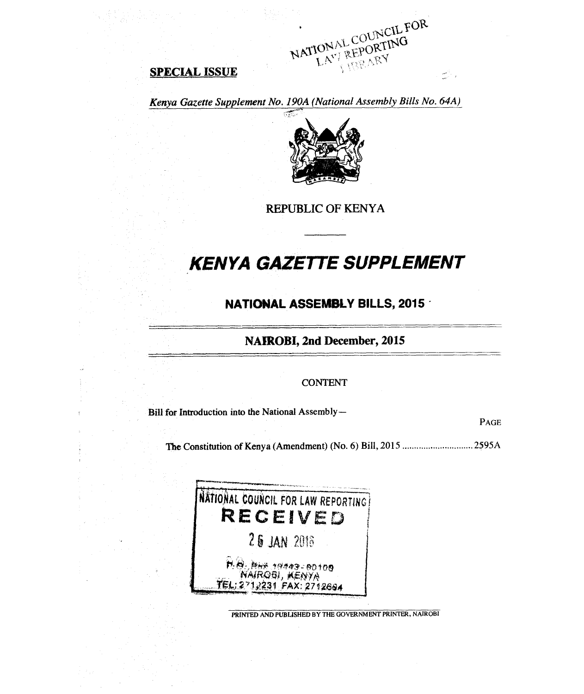**SPECIAL ISSUE** 



 $\sum_{\alpha,\beta}^{n-1} \alpha_{\beta,\beta}$ 

*Kenya Gazette Supplement No. 190A (National Assembly Bills No. 64A)* 



**REPUBLIC OF KENYA** 

# *KENYA GAZETTE SUPPLEMENT*

## **NATIONAL ASSEMBLY BILLS, 2015 -**

## **NAIROBI, 2nd December, 2015**

#### CONTENT

Bill for Introduction into the National Assembly—

PAGE

The Constitution of Kenya (Amendment) (No. 6) Bill, 2015 2595A



PRINTED AND PUBLISHED BY THE GOVERNMENT PRINTER, NAIROBI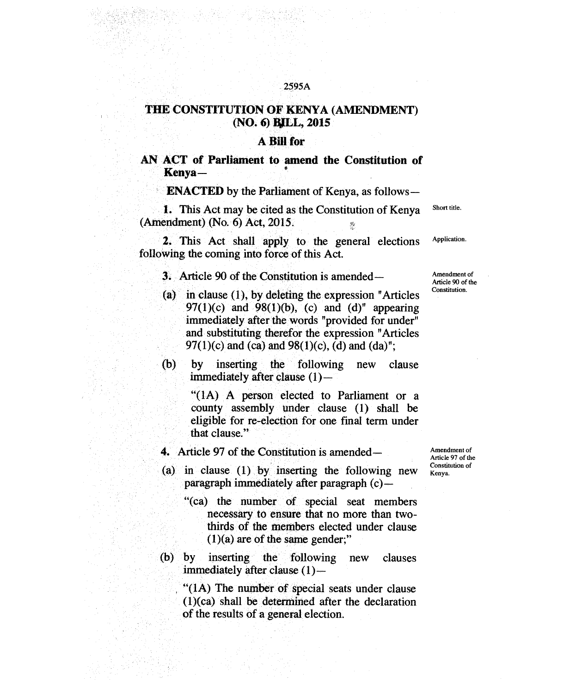### **THE CONSTITUTION OF KENYA (AMENDMENT) (NO. 6) BALL, 2015**

#### **A Bill for**

**AN ACT of Parliament to amend the Constitution of Kenya—** .

**ENACTED** by the Parliament of Kenya, as follows-

1. This Act may be cited as the Constitution of Kenya Short title. (Amendment) (No. 6) Act, 2015.

2. This Act shall apply to the general elections Application. following the coming into force of this Act.

- 3. Article 90 of the Constitution is amended—
- (a) in clause (1), by deleting the expression "Articles 97(1)(c) and 98(1)(b), (c) and (d)" appearing immediately after the words "provided for under" and substituting therefor the expression "Articles 97(1)(c) and (ca) and 98(1)(c), (d) and (da)";
- (b) by inserting the following new clause immediately after clause (1)—

"(1A) A person elected to Parliament or a county assembly under clause (1) shall be eligible for re-election for one final term under that clause."

- **4.** Article 97 of the Constitution is amended—
- (a) in clause (1) by inserting the following new paragraph immediately after paragraph (c)—
	- "(ca) the number of special seat members necessary to ensure that no more than twothirds of the members elected under clause  $(1)(a)$  are of the same gender;"
- (b) by inserting the following new clauses immediately after clause (1)—

"(1A) The number of special seats under clause (1)(ca) shall be determined after the declaration of the results of a general election.

Amendment of Article 97 of the Constitution of Kenya.

Amendment of Article 90 of the Constitution.

2595A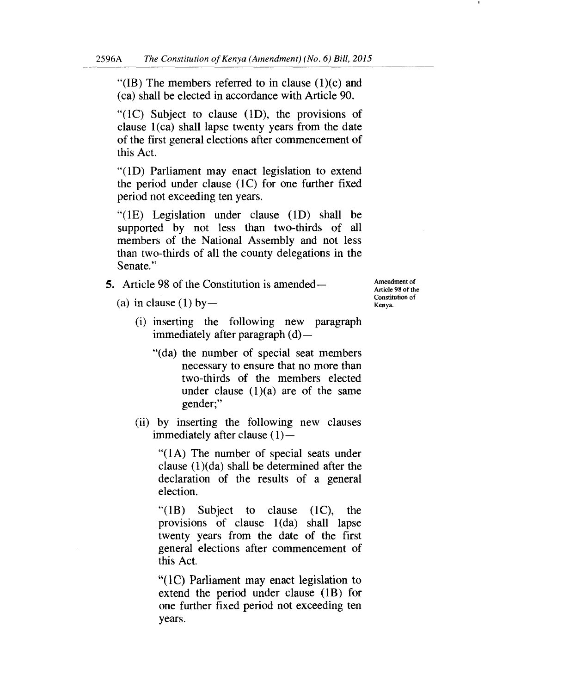"(IB) The members referred to in clause  $(1)(c)$  and (ca) shall be elected in accordance with Article 90.

"(1C) Subject to clause (1D), the provisions of clause 1(ca) shall lapse twenty years from the date of the first general elections after commencement of this Act.

"(1D) Parliament may enact legislation to extend the period under clause (1C) for one further fixed period not exceeding ten years.

"(1E) Legislation under clause (1D) shall be supported by not less than two-thirds of all members of the National Assembly and not less than two-thirds of all the county delegations in the Senate."

- 5. Article 98 of the Constitution is amended
	- (a) in clause (1) by —

Amendment of Article 98 of the Constitution of Kenya.

- (i) inserting the following new paragraph immediately after paragraph (d)—
	- "(da) the number of special seat members necessary to ensure that no more than two-thirds of the members elected under clause  $(1)(a)$  are of the same gender;"
- (ii) by inserting the following new clauses immediately after clause  $(1)$ —

"(1A) The number of special seats under clause (1)(da) shall be determined after the declaration of the results of a general election.

"(1B) Subject to clause (1C), the provisions of clause 1(da) shall lapse twenty years from the date of the first general elections after commencement of this Act.

"(1C) Parliament may enact legislation to extend the period under clause (1B) for one further fixed period not exceeding ten years.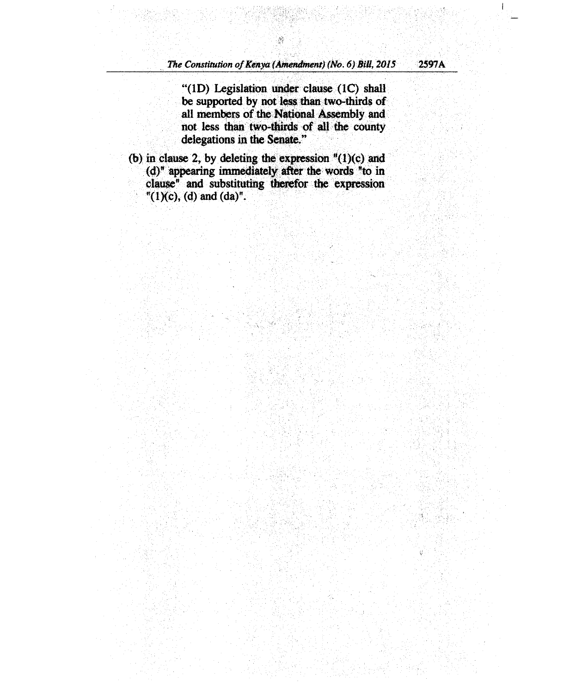**"(1D) Legislation under clause (1C) shall be supported by not less than two-thirds of all members of the National Assembly and not less than two-thirds of all the county delegations in the Senate."** 

**(b) in clause 2, by deleting the expression "(1)(c) and (d)" appearing immediately after the words "to in clause" and substituting therefor** the **expression "(1)(c), (d) and (da)".**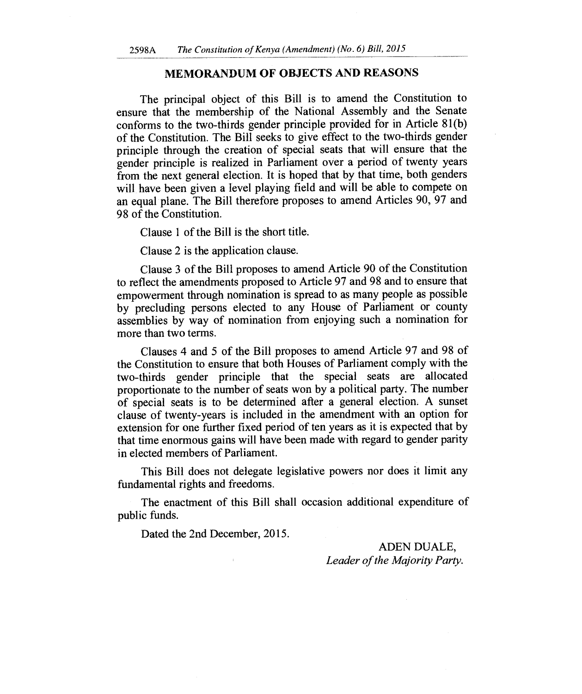#### **MEMORANDUM OF OBJECTS AND REASONS**

The principal object of this Bill is to amend the Constitution to ensure that the membership of the National Assembly and the Senate conforms to the two-thirds gender principle provided for in Article 81(b) of the Constitution. The Bill seeks to give effect to the two-thirds gender principle through the creation of special seats that will ensure that the gender principle is realized in Parliament over a period of twenty years from the next general election. It is hoped that by that time, both genders will have been given a level playing field and will be able to compete on an equal plane. The Bill therefore proposes to amend Articles 90, 97 and 98 of the Constitution.

Clause 1 of the Bill is the short title.

Clause 2 is the application clause.

Clause 3 of the Bill proposes to amend Article 90 of the Constitution to reflect the amendments proposed to Article 97 and 98 and to ensure that empowerment through nomination is spread to as many people as possible by precluding persons elected to any House of Parliament or county assemblies by way of nomination from enjoying such a nomination for more than two terms.

Clauses 4 and 5 of the Bill proposes to amend Article 97 and 98 of the Constitution to ensure that both Houses of Parliament comply with the two-thirds gender principle that the special seats are allocated proportionate to the number of seats won by a political party. The number of special seats is to be determined after a general election. A sunset clause of twenty-years is included in the amendment with an option for extension for one further fixed period of ten years as it is expected that by that time enormous gains will have been made with regard to gender parity in elected members of Parliament.

This Bill does not delegate legislative powers nor does it limit any fundamental rights and freedoms.

The enactment of this Bill shall occasion additional expenditure of public funds.

Dated the 2nd December, 2015.

ADEN DUALE, *Leader of the Majority Party.*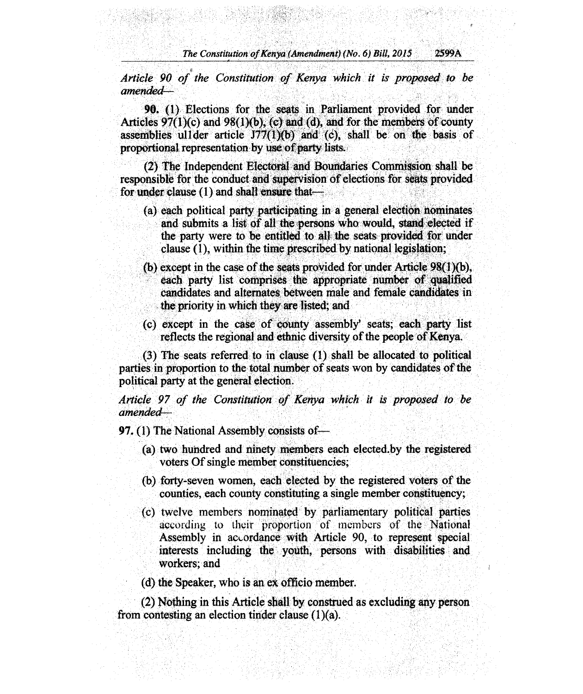*The Constitution of Kenya (Amendment) (No. 6) Bill, 2015* 2599A

*Article 90 of the Constitution of Kenya which it is proposed to be amended-*

90. (1) Elections for the seats in Parliament provided for under Articles  $97(1)(c)$  and  $98(1)(b)$ , (c) and (d), and for the members of county assemblies ull der article  $J77(1)(b)$  and (c), shall be on the basis of proportional representation by use of party lists.

(2) The Independent Electoral and Boundaries Commission shall be responsible for the conduct and supervision of elections for seats provided for under clause (1) and shall ensure that—

- (a) each political party participating in a general election nominates and submits a list of all the persons who would, stand elected if the party were to be entitled to all the seats provided for under clause (1), within the time prescribed by national legislation;
- (b) except in the case of the seats provided for under Article 98(1)(b), each party list comprises the appropriate number of qualified candidates and alternates between male and female candidates in the priority in which they are listed; and
- (c) except in the case of county assembly' seats; each party list reflects the regional and ethnic diversity of the people of Kenya.

(3) The seats referred to in clause (1) shall be allocated to political parties in proportion to the total number of seats won by candidates of the political party at the general election.

*Article 97 of the Constitution of Kenya which it is proposed to be amended-*

97. (1) The National Assembly consists of—

- (a) two hundred and ninety members each elected.by the registered voters Of single member constituencies;
- (b) forty-seven women, each elected by the registered voters of the counties, each county constituting a single member constituency;
- (c) twelve members nominated by parliamentary political parties according to their proportion of members of the National Assembly in accordance with Article 90, to represent special interests including the youth, persons with disabilities and workers; and

(d) the Speaker, who is an ex officio member.

(2) Nothing in this Article shall by construed as excluding any person from contesting an election tinder clause (1)(a).